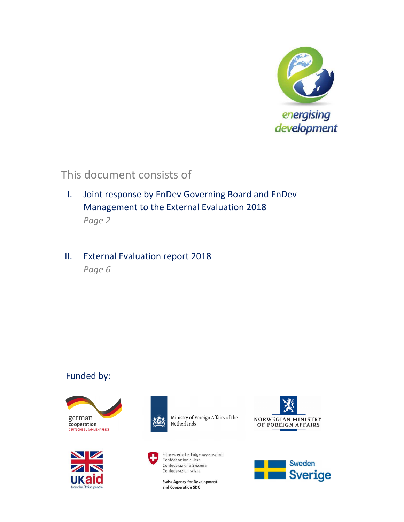

# This document consists of

I. Joint response by EnDev Governing Board and EnDev Management to the External Evaluation 2018 *Page 2* 

# II. External Evaluation report 2018

*Page 6* 

# Funded by:







Ministry of Foreign Affairs of the Netherlands



Schweizerische Eidgenossenschaft Confédération suisse Confederazione Svizzera Confederaziun svizra

**Swiss Agency for Development** and Cooperation SDC



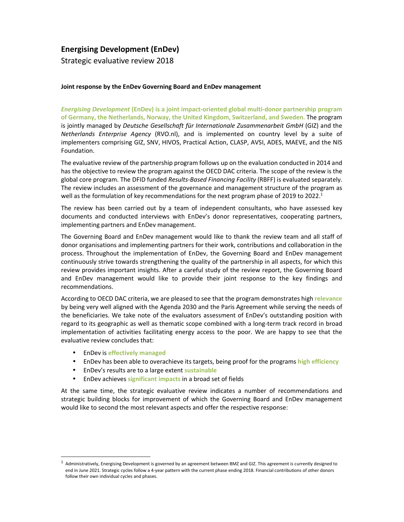### **Energising Development (EnDev)**

Strategic evaluative review 2018

### **Joint response by the EnDev Governing Board and EnDev management**

*Energising Development* **(EnDev) is a joint impact-oriented global multi-donor partnership program of Germany, the Netherlands, Norway, the United Kingdom, Switzerland, and Sweden.** The program is jointly managed by *Deutsche Gesellschaft für Internationale Zusammenarbeit GmbH* (GIZ) and the *Netherlands Enterprise Agency* (RVO.nl), and is implemented on country level by a suite of implementers comprising GIZ, SNV, HIVOS, Practical Action, CLASP, AVSI, ADES, MAEVE, and the NIS Foundation.

The evaluative review of the partnership program follows up on the evaluation conducted in 2014 and has the objective to review the program against the OECD DAC criteria. The scope of the review is the global core program. The DFID funded *Results-Based Financing Facility* (RBFF) is evaluated separately. The review includes an assessment of the governance and management structure of the program as well as the formulation of key recommendations for the next program phase of 2019 to 2022.<sup>1</sup>

The review has been carried out by a team of independent consultants, who have assessed key documents and conducted interviews with EnDev's donor representatives, cooperating partners, implementing partners and EnDev management.

The Governing Board and EnDev management would like to thank the review team and all staff of donor organisations and implementing partners for their work, contributions and collaboration in the process. Throughout the implementation of EnDev, the Governing Board and EnDev management continuously strive towards strengthening the quality of the partnership in all aspects, for which this review provides important insights. After a careful study of the review report, the Governing Board and EnDev management would like to provide their joint response to the key findings and recommendations.

According to OECD DAC criteria, we are pleased to see that the program demonstrates high **relevance** by being very well aligned with the Agenda 2030 and the Paris Agreement while serving the needs of the beneficiaries. We take note of the evaluators assessment of EnDev's outstanding position with regard to its geographic as well as thematic scope combined with a long-term track record in broad implementation of activities facilitating energy access to the poor. We are happy to see that the evaluative review concludes that:

• EnDev is **effectively managed**

l

- EnDev has been able to overachieve its targets, being proof for the programs **high efficiency**
- EnDev's results are to a large extent **sustainable**
- EnDev achieves **significant impacts** in a broad set of fields

At the same time, the strategic evaluative review indicates a number of recommendations and strategic building blocks for improvement of which the Governing Board and EnDev management would like to second the most relevant aspects and offer the respective response:

 $^{\rm 1}$  Administratively, Energising Development is governed by an agreement between BMZ and GIZ. This agreement is currently designed to end in June 2021. Strategic cycles follow a 4-year pattern with the current phase ending 2018. Financial contributions of other donors follow their own individual cycles and phases.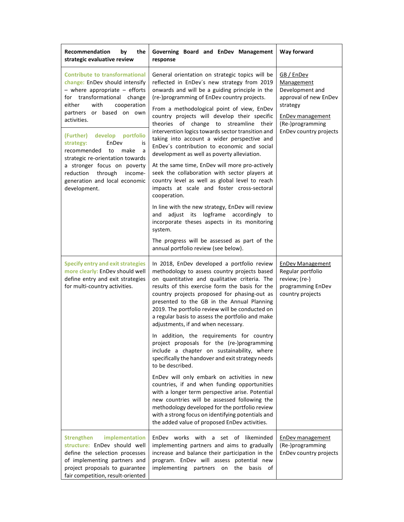| Recommendation<br>the<br>by<br>strategic evaluative review                                                                                                                                                                                             | Governing Board and EnDev Management<br>response                                                                                                                                                                                                                                                                                                                                                                                            | Way forward                                                                                                                                                      |
|--------------------------------------------------------------------------------------------------------------------------------------------------------------------------------------------------------------------------------------------------------|---------------------------------------------------------------------------------------------------------------------------------------------------------------------------------------------------------------------------------------------------------------------------------------------------------------------------------------------------------------------------------------------------------------------------------------------|------------------------------------------------------------------------------------------------------------------------------------------------------------------|
| <b>Contribute to transformational</b><br>change: EnDev should intensify<br>$-$ where appropriate $-$ efforts<br>for transformational change<br>with<br>cooperation<br>either<br>partners or based on own<br>activities.<br>(Further) develop portfolio | General orientation on strategic topics will be<br>reflected in EnDev's new strategy from 2019<br>onwards and will be a guiding principle in the<br>(re-)programming of EnDev country projects.<br>From a methodological point of view, EnDev<br>country projects will develop their specific<br>theories of change to streamline their<br>intervention logics towards sector transition and                                                | GB / EnDev<br><b>Management</b><br>Development and<br>approval of new EnDev<br>strategy<br><b>EnDev management</b><br>(Re-)programming<br>EnDev country projects |
| strategy:<br>EnDev<br>is<br>recommended<br>make<br>to<br>a<br>strategic re-orientation towards<br>a stronger focus on poverty<br>through<br>reduction<br>income-<br>generation and local economic<br>development.                                      | taking into account a wider perspective and<br>EnDev's contribution to economic and social<br>development as well as poverty alleviation.<br>At the same time, EnDev will more pro-actively<br>seek the collaboration with sector players at<br>country level as well as global level to reach<br>impacts at scale and foster cross-sectoral<br>cooperation.                                                                                |                                                                                                                                                                  |
|                                                                                                                                                                                                                                                        | In line with the new strategy, EnDev will review<br>and adjust its logframe accordingly to<br>incorporate theses aspects in its monitoring<br>system.                                                                                                                                                                                                                                                                                       |                                                                                                                                                                  |
|                                                                                                                                                                                                                                                        | The progress will be assessed as part of the<br>annual portfolio review (see below).                                                                                                                                                                                                                                                                                                                                                        |                                                                                                                                                                  |
| <b>Specify entry and exit strategies</b><br>more clearly: EnDev should well<br>define entry and exit strategies<br>for multi-country activities.                                                                                                       | In 2018, EnDev developed a portfolio review<br>methodology to assess country projects based<br>on quantitative and qualitative criteria. The<br>results of this exercise form the basis for the<br>country projects proposed for phasing-out as<br>presented to the GB in the Annual Planning<br>2019. The portfolio review will be conducted on<br>a regular basis to assess the portfolio and make<br>adjustments, if and when necessary. | <b>EnDev Management</b><br>Regular portfolio<br>review; (re-)<br>programming EnDev<br>country projects                                                           |
|                                                                                                                                                                                                                                                        | In addition, the requirements for country<br>project proposals for the (re-)programming<br>include a chapter on sustainability, where<br>specifically the handover and exit strategy needs<br>to be described.                                                                                                                                                                                                                              |                                                                                                                                                                  |
|                                                                                                                                                                                                                                                        | EnDev will only embark on activities in new<br>countries, if and when funding opportunities<br>with a longer term perspective arise. Potential<br>new countries will be assessed following the<br>methodology developed for the portfolio review<br>with a strong focus on identifying potentials and<br>the added value of proposed EnDev activities.                                                                                      |                                                                                                                                                                  |
| implementation<br><b>Strengthen</b><br>structure: EnDev should well<br>define the selection processes<br>of implementing partners and<br>project proposals to guarantee<br>fair competition, result-oriented                                           | EnDev works with a set of<br>likeminded<br>implementing partners and aims to gradually<br>increase and balance their participation in the<br>program. EnDev will assess potential new<br>implementing partners<br>on<br>the<br>basis of                                                                                                                                                                                                     | <b>EnDev management</b><br>(Re-)programming<br>EnDev country projects                                                                                            |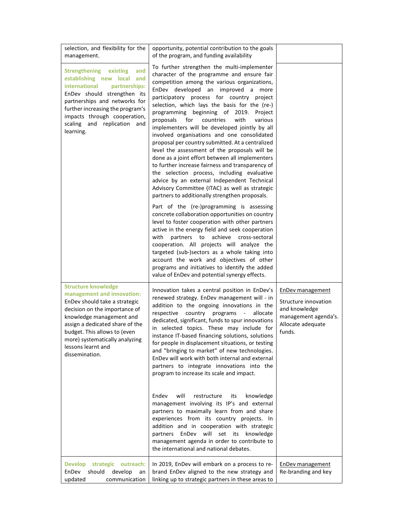| selection, and flexibility for the<br>management.                                                                                                                                                                                                                                                   | opportunity, potential contribution to the goals<br>of the program, and funding availability                                                                                                                                                                                                                                                                                                                                                                                                                                                                                                                                                                                                                                                                                                                                                                                                                                                                                                                                                                                                                                                                                                                                                                                                                                                                                                   |                                                                                                                  |
|-----------------------------------------------------------------------------------------------------------------------------------------------------------------------------------------------------------------------------------------------------------------------------------------------------|------------------------------------------------------------------------------------------------------------------------------------------------------------------------------------------------------------------------------------------------------------------------------------------------------------------------------------------------------------------------------------------------------------------------------------------------------------------------------------------------------------------------------------------------------------------------------------------------------------------------------------------------------------------------------------------------------------------------------------------------------------------------------------------------------------------------------------------------------------------------------------------------------------------------------------------------------------------------------------------------------------------------------------------------------------------------------------------------------------------------------------------------------------------------------------------------------------------------------------------------------------------------------------------------------------------------------------------------------------------------------------------------|------------------------------------------------------------------------------------------------------------------|
| <b>Strengthening</b><br>existing<br>and<br>establishing new local<br>and<br>international<br>partnerships:<br>EnDev should strengthen its<br>partnerships and networks for<br>further increasing the program's<br>impacts through cooperation,<br>scaling and replication and<br>learning.          | To further strengthen the multi-implementer<br>character of the programme and ensure fair<br>competition among the various organizations,<br>EnDev developed an improved a more<br>participatory process for country project<br>selection, which lays the basis for the (re-)<br>programming beginning of 2019.<br>Project<br>proposals<br>for<br>countries<br>with<br>various<br>implementers will be developed jointly by all<br>involved organisations and one consolidated<br>proposal per country submitted. At a centralized<br>level the assessment of the proposals will be<br>done as a joint effort between all implementers<br>to further increase fairness and transparency of<br>the selection process, including evaluative<br>advice by an external Independent Technical<br>Advisory Committee (ITAC) as well as strategic<br>partners to additionally strengthen proposals.<br>Part of the (re-)programming is assessing<br>concrete collaboration opportunities on country<br>level to foster cooperation with other partners<br>active in the energy field and seek cooperation<br>partners to achieve cross-sectoral<br>with<br>cooperation. All projects will analyze the<br>targeted (sub-)sectors as a whole taking into<br>account the work and objectives of other<br>programs and initiatives to identify the added<br>value of EnDev and potential synergy effects. |                                                                                                                  |
| <b>Structure knowledge</b><br>management and innovation:<br>EnDev should take a strategic<br>decision on the importance of<br>knowledge management and<br>assign a dedicated share of the<br>budget. This allows to (even<br>more) systematically analyzing<br>lessons learnt and<br>dissemination. | Innovation takes a central position in EnDev's<br>renewed strategy. EnDev management will - in<br>addition to the ongoing innovations in the<br>respective<br>country programs<br>allocate<br>$\overline{\phantom{a}}$<br>dedicated, significant, funds to spur innovations<br>in selected topics. These may include for<br>instance IT-based financing solutions, solutions<br>for people in displacement situations, or testing<br>and "bringing to market" of new technologies.<br>EnDev will work with both internal and external<br>partners to integrate innovations into the<br>program to increase its scale and impact.<br>will<br>Endev<br>restructure<br>knowledge<br>its<br>management involving its IP's and external<br>partners to maximally learn from and share<br>experiences from its country projects. In<br>addition and in cooperation with strategic<br>EnDev will set its knowledge<br>partners<br>management agenda in order to contribute to<br>the international and national debates.                                                                                                                                                                                                                                                                                                                                                                              | EnDev management<br>Structure innovation<br>and knowledge<br>management agenda's.<br>Allocate adequate<br>funds. |
| <b>Develop</b><br>strategic outreach:<br>EnDev<br>should<br>develop<br>an<br>updated<br>communication                                                                                                                                                                                               | In 2019, EnDev will embark on a process to re-<br>brand EnDev aligned to the new strategy and<br>linking up to strategic partners in these areas to                                                                                                                                                                                                                                                                                                                                                                                                                                                                                                                                                                                                                                                                                                                                                                                                                                                                                                                                                                                                                                                                                                                                                                                                                                            | <b>EnDev management</b><br>Re-branding and key                                                                   |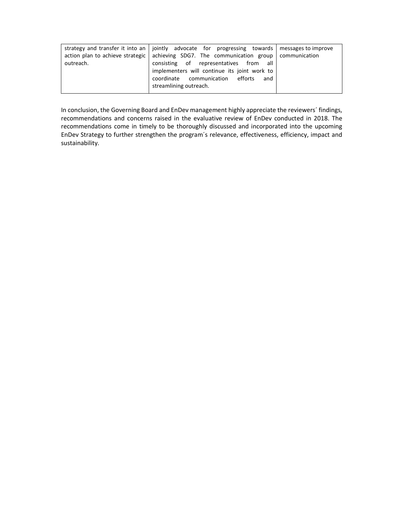|           | strategy and transfer it into an   jointly advocate for progressing towards   messages to improve |  |
|-----------|---------------------------------------------------------------------------------------------------|--|
|           | action plan to achieve strategic   achieving SDG7. The communication group   communication        |  |
| outreach. | consisting of representatives from all                                                            |  |
|           | implementers will continue its joint work to                                                      |  |
|           | coordinate communication efforts and                                                              |  |
|           | streamlining outreach.                                                                            |  |
|           |                                                                                                   |  |

In conclusion, the Governing Board and EnDev management highly appreciate the reviewers´ findings, recommendations and concerns raised in the evaluative review of EnDev conducted in 2018. The recommendations come in timely to be thoroughly discussed and incorporated into the upcoming EnDev Strategy to further strengthen the program´s relevance, effectiveness, efficiency, impact and sustainability.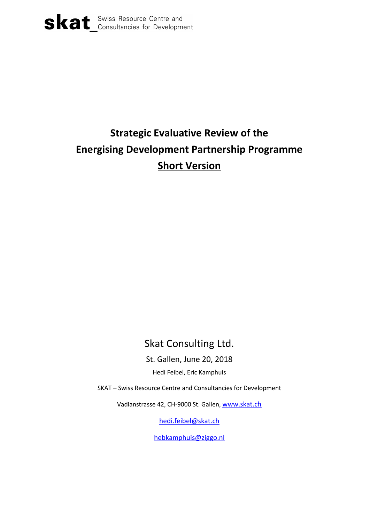

# **Strategic Evaluative Review of the Energising Development Partnership Programme Short Version**

# Skat Consulting Ltd.

St. Gallen, June 20, 2018

Hedi Feibel, Eric Kamphuis

SKAT – Swiss Resource Centre and Consultancies for Development

Vadianstrasse 42, CH-9000 St. Gallen, [www.skat.ch](http://www.skat.ch/)

[hedi.feibel@skat.ch](mailto:hedi.feibel@skat.ch)

[hebkamphuis@ziggo.nl](mailto:hebkamphuis@ziggo.nl)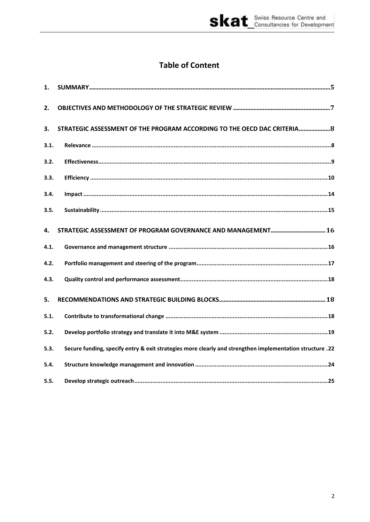# **Table of Content**

| 1.   |                                                                                                          |
|------|----------------------------------------------------------------------------------------------------------|
| 2.   |                                                                                                          |
| 3.   | STRATEGIC ASSESSMENT OF THE PROGRAM ACCORDING TO THE OECD DAC CRITERIA 8                                 |
| 3.1. |                                                                                                          |
| 3.2. |                                                                                                          |
| 3.3. |                                                                                                          |
| 3.4. |                                                                                                          |
| 3.5. |                                                                                                          |
| 4.   |                                                                                                          |
| 4.1. |                                                                                                          |
| 4.2. |                                                                                                          |
| 4.3. |                                                                                                          |
| 5.   |                                                                                                          |
| 5.1. |                                                                                                          |
| 5.2. |                                                                                                          |
| 5.3. | 22. Secure funding, specify entry & exit strategies more clearly and strengthen implementation structure |
| 5.4. |                                                                                                          |
| 5.5. |                                                                                                          |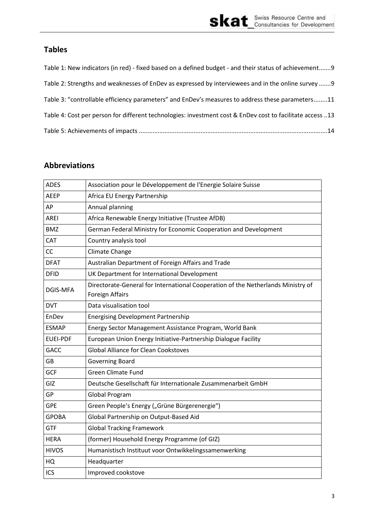# **Tables**

| Table 1: New indicators (in red) - fixed based on a defined budget - and their status of achievement 9    |
|-----------------------------------------------------------------------------------------------------------|
| Table 2: Strengths and weaknesses of EnDev as expressed by interviewees and in the online survey  9       |
| Table 3: "controllable efficiency parameters" and EnDev's measures to address these parameters11          |
| Table 4: Cost per person for different technologies: investment cost & EnDev cost to facilitate access 13 |
|                                                                                                           |

# **Abbreviations**

| <b>ADES</b>     | Association pour le Développement de l'Energie Solaire Suisse                                       |  |
|-----------------|-----------------------------------------------------------------------------------------------------|--|
| <b>AEEP</b>     | Africa EU Energy Partnership                                                                        |  |
| AP              | Annual planning                                                                                     |  |
| AREI            | Africa Renewable Energy Initiative (Trustee AfDB)                                                   |  |
| <b>BMZ</b>      | German Federal Ministry for Economic Cooperation and Development                                    |  |
| CAT             | Country analysis tool                                                                               |  |
| CC              | Climate Change                                                                                      |  |
| <b>DFAT</b>     | Australian Department of Foreign Affairs and Trade                                                  |  |
| <b>DFID</b>     | UK Department for International Development                                                         |  |
| DGIS-MFA        | Directorate-General for International Cooperation of the Netherlands Ministry of<br>Foreign Affairs |  |
| <b>DVT</b>      | Data visualisation tool                                                                             |  |
| EnDev           | <b>Energising Development Partnership</b>                                                           |  |
| <b>ESMAP</b>    | Energy Sector Management Assistance Program, World Bank                                             |  |
| <b>EUEI-PDF</b> | European Union Energy Initiative-Partnership Dialogue Facility                                      |  |
| <b>GACC</b>     | <b>Global Alliance for Clean Cookstoves</b>                                                         |  |
| <b>GB</b>       | <b>Governing Board</b>                                                                              |  |
| <b>GCF</b>      | <b>Green Climate Fund</b>                                                                           |  |
| GIZ             | Deutsche Gesellschaft für Internationale Zusammenarbeit GmbH                                        |  |
| GP              | Global Program                                                                                      |  |
| <b>GPE</b>      | Green People's Energy ("Grüne Bürgerenergie")                                                       |  |
| <b>GPOBA</b>    | Global Partnership on Output-Based Aid                                                              |  |
| <b>GTF</b>      | <b>Global Tracking Framework</b>                                                                    |  |
| <b>HERA</b>     | (former) Household Energy Programme (of GIZ)                                                        |  |
| <b>HIVOS</b>    | Humanistisch Instituut voor Ontwikkelingssamenwerking                                               |  |
| HQ              | Headquarter                                                                                         |  |
| ICS             | Improved cookstove                                                                                  |  |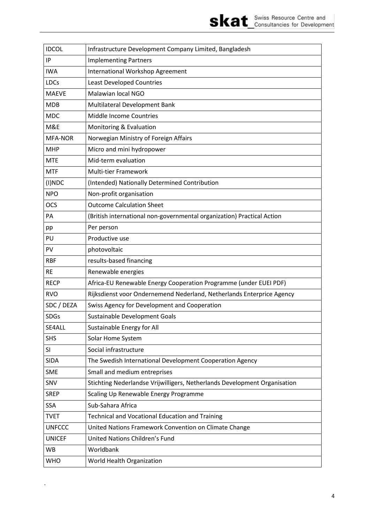

| <b>IDCOL</b>     | Infrastructure Development Company Limited, Bangladesh                    |  |  |
|------------------|---------------------------------------------------------------------------|--|--|
| IP               | <b>Implementing Partners</b>                                              |  |  |
| <b>IWA</b>       | International Workshop Agreement                                          |  |  |
| <b>LDCs</b>      | Least Developed Countries                                                 |  |  |
| <b>MAEVE</b>     | Malawian local NGO                                                        |  |  |
| <b>MDB</b>       | Multilateral Development Bank                                             |  |  |
| <b>MDC</b>       | Middle Income Countries                                                   |  |  |
| M&E              | Monitoring & Evaluation                                                   |  |  |
| <b>MFA-NOR</b>   | Norwegian Ministry of Foreign Affairs                                     |  |  |
| <b>MHP</b>       | Micro and mini hydropower                                                 |  |  |
| <b>MTE</b>       | Mid-term evaluation                                                       |  |  |
| <b>MTF</b>       | <b>Multi-tier Framework</b>                                               |  |  |
| $(I) \text{NDC}$ | (Intended) Nationally Determined Contribution                             |  |  |
| <b>NPO</b>       | Non-profit organisation                                                   |  |  |
| <b>OCS</b>       | <b>Outcome Calculation Sheet</b>                                          |  |  |
| PA               | (British international non-governmental organization) Practical Action    |  |  |
| pp               | Per person                                                                |  |  |
| PU               | Productive use                                                            |  |  |
| PV               | photovoltaic                                                              |  |  |
| <b>RBF</b>       | results-based financing                                                   |  |  |
| <b>RE</b>        | Renewable energies                                                        |  |  |
| <b>RECP</b>      | Africa-EU Renewable Energy Cooperation Programme (under EUEI PDF)         |  |  |
| <b>RVO</b>       | Rijksdienst voor Ondernemend Nederland, Netherlands Enterprice Agency     |  |  |
| SDC / DEZA       | Swiss Agency for Development and Cooperation                              |  |  |
| <b>SDGs</b>      | Sustainable Development Goals                                             |  |  |
| SE4ALL           | Sustainable Energy for All                                                |  |  |
| <b>SHS</b>       | Solar Home System                                                         |  |  |
| SI               | Social infrastructure                                                     |  |  |
| <b>SIDA</b>      | The Swedish International Development Cooperation Agency                  |  |  |
| <b>SME</b>       | Small and medium entreprises                                              |  |  |
| SNV              | Stichting Nederlandse Vrijwilligers, Netherlands Development Organisation |  |  |
| <b>SREP</b>      | Scaling Up Renewable Energy Programme                                     |  |  |
| <b>SSA</b>       | Sub-Sahara Africa                                                         |  |  |
| <b>TVET</b>      | Technical and Vocational Education and Training                           |  |  |
| <b>UNFCCC</b>    | United Nations Framework Convention on Climate Change                     |  |  |
| <b>UNICEF</b>    | <b>United Nations Children's Fund</b>                                     |  |  |
| WB               | Worldbank                                                                 |  |  |
| <b>WHO</b>       | World Health Organization                                                 |  |  |

.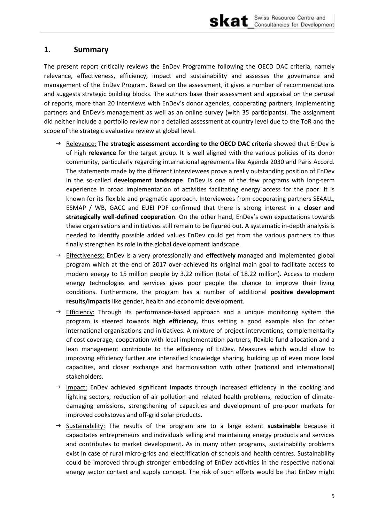

### <span id="page-9-0"></span>**1. Summary**

The present report critically reviews the EnDev Programme following the OECD DAC criteria, namely relevance, effectiveness, efficiency, impact and sustainability and assesses the governance and management of the EnDev Program. Based on the assessment, it gives a number of recommendations and suggests strategic building blocks. The authors base their assessment and appraisal on the perusal of reports, more than 20 interviews with EnDev's donor agencies, cooperating partners, implementing partners and EnDev's management as well as an online survey (with 35 participants). The assignment did neither include a portfolio review nor a detailed assessment at country level due to the ToR and the scope of the strategic evaluative review at global level.

- → Relevance: **The strategic assessment according to the OECD DAC criteria** showed that EnDev is of high **relevance** for the target group. It is well aligned with the various policies of its donor community, particularly regarding international agreements like Agenda 2030 and Paris Accord. The statements made by the different interviewees prove a really outstanding position of EnDev in the so-called **development landscape**. EnDev is one of the few programs with long-term experience in broad implementation of activities facilitating energy access for the poor. It is known for its flexible and pragmatic approach. Interviewees from cooperating partners SE4ALL, ESMAP / WB, GACC and EUEI PDF confirmed that there is strong interest in a **closer and strategically well-defined cooperation**. On the other hand, EnDev's own expectations towards these organisations and initiatives still remain to be figured out. A systematic in-depth analysis is needed to identify possible added values EnDev could get from the various partners to thus finally strengthen its role in the global development landscape.
- → Effectiveness: EnDev is a very professionally and **effectively** managed and implemented global program which at the end of 2017 over-achieved its original main goal to facilitate access to modern energy to 15 million people by 3.22 million (total of 18.22 million). Access to modern energy technologies and services gives poor people the chance to improve their living conditions. Furthermore, the program has a number of additional **positive development results/impacts** like gender, health and economic development.
- $\rightarrow$  Efficiency: Through its performance-based approach and a unique monitoring system the program is steered towards **high efficiency,** thus setting a good example also for other international organisations and initiatives. A mixture of project interventions, complementarity of cost coverage, cooperation with local implementation partners, flexible fund allocation and a lean management contribute to the efficiency of EnDev. Measures which would allow to improving efficiency further are intensified knowledge sharing, building up of even more local capacities, and closer exchange and harmonisation with other (national and international) stakeholders.
- $\rightarrow$  Impact: EnDev achieved significant **impacts** through increased efficiency in the cooking and lighting sectors, reduction of air pollution and related health problems, reduction of climatedamaging emissions, strengthening of capacities and development of pro-poor markets for improved cookstoves and off-grid solar products.
- $\rightarrow$  Sustainability: The results of the program are to a large extent **sustainable** because it capacitates entrepreneurs and individuals selling and maintaining energy products and services and contributes to market development**.** As in many other programs, sustainability problems exist in case of rural micro-grids and electrification of schools and health centres. Sustainability could be improved through stronger embedding of EnDev activities in the respective national energy sector context and supply concept. The risk of such efforts would be that EnDev might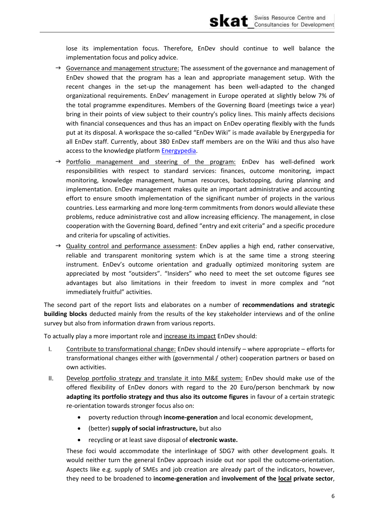lose its implementation focus. Therefore, EnDev should continue to well balance the implementation focus and policy advice.

- $\rightarrow$  Governance and management structure: The assessment of the governance and management of EnDev showed that the program has a lean and appropriate management setup. With the recent changes in the set-up the management has been well-adapted to the changed organizational requirements. EnDev' management in Europe operated at slightly below 7% of the total programme expenditures. Members of the Governing Board (meetings twice a year) bring in their points of view subject to their country's policy lines. This mainly affects decisions with financial consequences and thus has an impact on EnDev operating flexibly with the funds put at its disposal. A workspace the so-called "EnDev Wiki" is made available by Energypedia for all EnDev staff. Currently, about 380 EnDev staff members are on the Wiki and thus also have access to the knowledge platform Energypedia.
- $\rightarrow$  Portfolio management and steering of the program: EnDev has well-defined work responsibilities with respect to standard services: finances, outcome monitoring, impact monitoring, knowledge management, human resources, backstopping, during planning and implementation. EnDev management makes quite an important administrative and accounting effort to ensure smooth implementation of the significant number of projects in the various countries. Less earmarking and more long-term commitments from donors would alleviate these problems, reduce administrative cost and allow increasing efficiency. The management, in close cooperation with the Governing Board, defined "entry and exit criteria" and a specific procedure and criteria for upscaling of activities.
- $\rightarrow$  Quality control and performance assessment: EnDev applies a high end, rather conservative, reliable and transparent monitoring system which is at the same time a strong steering instrument. EnDev's outcome orientation and gradually optimized monitoring system are appreciated by most "outsiders". "Insiders" who need to meet the set outcome figures see advantages but also limitations in their freedom to invest in more complex and "not immediately fruitful" activities.

The second part of the report lists and elaborates on a number of recommendations and strategic building blocks deducted mainly from the results of the key stakeholder interviews and of the online survey but also from information drawn from various reports.

To actually play a more important role and increase its impact EnDev should:

- Contribute to transformational change: EnDev should intensify where appropriate efforts for  $\mathsf{L}$ transformational changes either with (governmental / other) cooperation partners or based on own activities.
- $II.$ Develop portfolio strategy and translate it into M&E system: EnDev should make use of the offered flexibility of EnDev donors with regard to the 20 Euro/person benchmark by now adapting its portfolio strategy and thus also its outcome figures in favour of a certain strategic re-orientation towards stronger focus also on:
	- $\bullet$ poverty reduction through income-generation and local economic development,
	- (better) supply of social infrastructure, but also  $\bullet$
	- recycling or at least save disposal of electronic waste.

These foci would accommodate the interlinkage of SDG7 with other development goals. It would neither turn the general EnDev approach inside out nor spoil the outcome-orientation. Aspects like e.g. supply of SMEs and job creation are already part of the indicators, however, they need to be broadened to income-generation and involvement of the local private sector,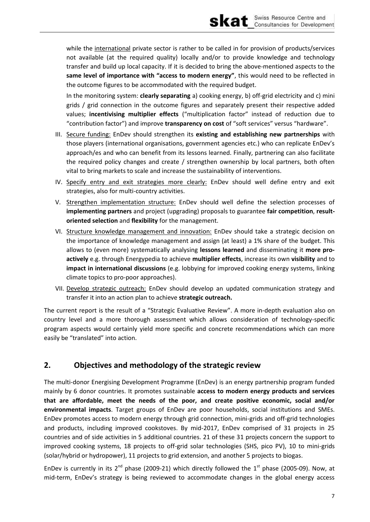while the international private sector is rather to be called in for provision of products/services not available (at the required quality) locally and/or to provide knowledge and technology transfer and build up local capacity. If it is decided to bring the above-mentioned aspects to the same level of importance with "access to modern energy", this would need to be reflected in the outcome figures to be accommodated with the required budget.

In the monitoring system: **clearly separating** a) cooking energy, b) off-grid electricity and c) mini grids / grid connection in the outcome figures and separately present their respective added values; incentivising multiplier effects ("multiplication factor" instead of reduction due to "contribution factor") and improve **transparency on cost** of "soft services" versus "hardware".

- III. Secure funding: EnDev should strengthen its **existing and establishing new partnerships** with those players (international organisations, government agencies etc.) who can replicate EnDev's approach/es and who can benefit from its lessons learned. Finally, partnering can also facilitate the required policy changes and create / strengthen ownership by local partners, both often vital to bring markets to scale and increase the sustainability of interventions.
- IV. Specify entry and exit strategies more clearly: EnDev should well define entry and exit strategies, also for multi-country activities.
- V. Strengthen implementation structure: EnDev should well define the selection processes of **implementing partners** and project (upgrading) proposals to guarantee **fair competition**, **resultoriented selection** and **flexibility** for the management.
- VI. Structure knowledge management and innovation: EnDev should take a strategic decision on the importance of knowledge management and assign (at least) a 1% share of the budget. This allows to (even more) systematically analysing **lessons learned** and disseminating it **more proactively** e.g. through Energypedia to achieve **multiplier effects**, increase its own **visibility** and to **impact in international discussions** (e.g. lobbying for improved cooking energy systems, linking climate topics to pro-poor approaches).
- VII. Develop strategic outreach: EnDev should develop an updated communication strategy and transfer it into an action plan to achieve **strategic outreach.**

The current report is the result of a "Strategic Evaluative Review". A more in-depth evaluation also on country level and a more thorough assessment which allows consideration of technology-specific program aspects would certainly yield more specific and concrete recommendations which can more easily be "translated" into action.

### <span id="page-11-0"></span>**2. Objectives and methodology of the strategic review**

The multi-donor Energising Development Programme (EnDev) is an energy partnership program funded mainly by 6 donor countries. It promotes sustainable **access to modern energy products and services that are affordable, meet the needs of the poor, and create positive economic, social and/or environmental impacts**. Target groups of EnDev are poor households, social institutions and SMEs. EnDev promotes access to modern energy through grid connection, mini-grids and off-grid technologies and products, including improved cookstoves. By mid-2017, EnDev comprised of 31 projects in 25 countries and of side activities in 5 additional countries. 21 of these 31 projects concern the support to improved cooking systems, 18 projects to off-grid solar technologies (SHS, pico PV), 10 to mini-grids (solar/hybrid or hydropower), 11 projects to grid extension, and another 5 projects to biogas.

EnDev is currently in its  $2^{nd}$  phase (2009-21) which directly followed the  $1^{st}$  phase (2005-09). Now, at mid-term, EnDev's strategy is being reviewed to accommodate changes in the global energy access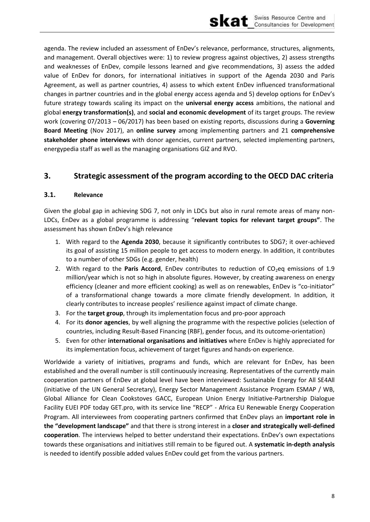agenda. The review included an assessment of EnDev's relevance, performance, structures, alignments, and management. Overall objectives were: 1) to review progress against objectives, 2) assess strengths and weaknesses of EnDev, compile lessons learned and give recommendations, 3) assess the added value of EnDev for donors, for international initiatives in support of the Agenda 2030 and Paris Agreement, as well as partner countries, 4) assess to which extent EnDev influenced transformational changes in partner countries and in the global energy access agenda and 5) develop options for EnDev's future strategy towards scaling its impact on the universal energy access ambitions, the national and global energy transformation(s), and social and economic development of its target groups. The review work (covering  $07/2013 - 06/2017$ ) has been based on existing reports, discussions during a Governing Board Meeting (Nov 2017), an online survey among implementing partners and 21 comprehensive stakeholder phone interviews with donor agencies, current partners, selected implementing partners, energypedia staff as well as the managing organisations GIZ and RVO.

#### <span id="page-12-0"></span> $3.$ Strategic assessment of the program according to the OECD DAC criteria

#### <span id="page-12-1"></span> $3.1.$ Relevance

Given the global gap in achieving SDG 7, not only in LDCs but also in rural remote areas of many non-LDCs, EnDev as a global programme is addressing "relevant topics for relevant target groups". The assessment has shown EnDev's high relevance

- 1. With regard to the Agenda 2030, because it significantly contributes to SDG7; it over-achieved its goal of assisting 15 million people to get access to modern energy. In addition, it contributes to a number of other SDGs (e.g. gender, health)
- 2. With regard to the Paris Accord, EnDev contributes to reduction of CO<sub>2</sub>eq emissions of 1.9 million/year which is not so high in absolute figures. However, by creating awareness on energy efficiency (cleaner and more efficient cooking) as well as on renewables, EnDev is "co-initiator" of a transformational change towards a more climate friendly development. In addition, it clearly contributes to increase peoples' resilience against impact of climate change.
- 3. For the target group, through its implementation focus and pro-poor approach
- 4. For its donor agencies, by well aligning the programme with the respective policies (selection of countries, including Result-Based Financing (RBF), gender focus, and its outcome-orientation)
- 5. Even for other international organisations and initiatives where EnDev is highly appreciated for its implementation focus, achievement of target figures and hands-on experience.

Worldwide a variety of initiatives, programs and funds, which are relevant for EnDev, has been established and the overall number is still continuously increasing. Representatives of the currently main cooperation partners of EnDev at global level have been interviewed: Sustainable Energy for All SE4All (initiative of the UN General Secretary), Energy Sector Management Assistance Program ESMAP / WB, Global Alliance for Clean Cookstoves GACC, European Union Energy Initiative-Partnership Dialogue Facility EUEI PDF today GET.pro, with its service line "RECP" - Africa EU Renewable Energy Cooperation Program. All interviewees from cooperating partners confirmed that EnDev plays an important role in the "development landscape" and that there is strong interest in a closer and strategically well-defined cooperation. The interviews helped to better understand their expectations. EnDev's own expectations towards these organisations and initiatives still remain to be figured out. A systematic in-depth analysis is needed to identify possible added values EnDev could get from the various partners.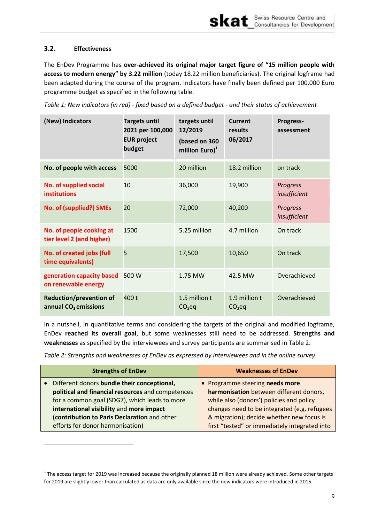#### <span id="page-13-0"></span> $3.2.$ **Effectiveness**

The EnDev Programme has over-achieved its original major target figure of "15 million people with access to modern energy" by 3.22 million (today 18.22 million beneficiaries). The original logframe had been adapted during the course of the program. Indicators have finally been defined per 100,000 Euro programme budget as specified in the following table.

<span id="page-13-1"></span>Table 1: New indicators (in red) - fixed based on a defined budget - and their status of achievement

| (New) Indicators                                         | <b>Targets until</b><br>2021 per 100,000<br><b>EUR project</b><br>budget | targets until<br>12/2019<br>(based on 360<br>million $Euro)^1$ | Current<br>results<br>06/2017 | Progress-<br>assessment         |
|----------------------------------------------------------|--------------------------------------------------------------------------|----------------------------------------------------------------|-------------------------------|---------------------------------|
| No. of people with access                                | 5000                                                                     | 20 million                                                     | 18.2 million                  | on track                        |
| No. of supplied social<br><b>institutions</b>            | 10                                                                       | 36,000                                                         | 19,900                        | <b>Progress</b><br>insufficient |
| No. of (supplied?) SMEs                                  | 20                                                                       | 72,000                                                         | 40,200                        | <b>Progress</b><br>insufficient |
| No. of people cooking at<br>tier level 2 (and higher)    | 1500                                                                     | 5.25 million                                                   | 4.7 million                   | On track                        |
| No. of created jobs (full<br>time equivalents)           | 5                                                                        | 17,500                                                         | 10,650                        | On track                        |
| generation capacity based<br>on renewable energy         | 500 W                                                                    | 1.75 MW                                                        | 42.5 MW                       | Overachieved                    |
| <b>Reduction/prevention of</b><br>annual $CO2$ emissions | 400 t                                                                    | 1.5 million t<br>$CO2$ eq                                      | 1.9 million t<br>$CO2$ eq     | Overachieved                    |

In a nutshell, in quantitative terms and considering the targets of the original and modified logframe, EnDev reached its overall goal, but some weaknesses still need to be addressed. Strengths and weaknesses as specified by the interviewees and survey participants are summarised in Table 2.

<span id="page-13-2"></span>Table 2: Strengths and weaknesses of EnDev as expressed by interviewees and in the online survey

| <b>Strengths of EnDev</b>                         | <b>Weaknesses of EnDev</b>                    |  |
|---------------------------------------------------|-----------------------------------------------|--|
| Different donors bundle their conceptional,       | • Programme steering needs more               |  |
| political and financial resources and competences | harmonisation between different donors,       |  |
| for a common goal (SDG7), which leads to more     | while also (donors') policies and policy      |  |
| international visibility and more impact          | changes need to be integrated (e.g. refugees  |  |
| (contribution to Paris Declaration and other      | & migration); decide whether new focus is     |  |
| efforts for donor harmonisation)                  | first "tested" or immediately integrated into |  |

<sup>&</sup>lt;sup>1</sup> The access target for 2019 was increased because the originally planned 18 million were already achieved. Some other targets for 2019 are slightly lower than calculated as data are only available since the new indicators were introduced in 2015.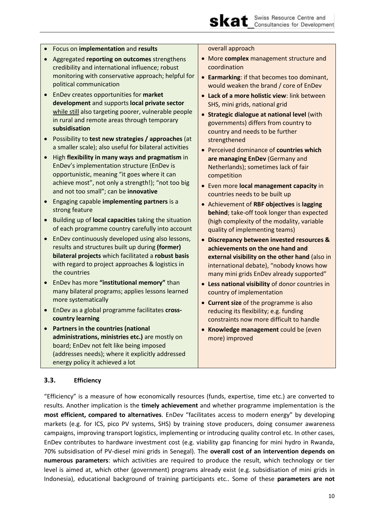

|           | Focus on implementation and results                                                                                                                                                                                                                           | overall approach                                                                                                                                                                                                         |  |
|-----------|---------------------------------------------------------------------------------------------------------------------------------------------------------------------------------------------------------------------------------------------------------------|--------------------------------------------------------------------------------------------------------------------------------------------------------------------------------------------------------------------------|--|
|           | Aggregated reporting on outcomes strengthens<br>credibility and international influence; robust                                                                                                                                                               | • More complex management structure and<br>coordination                                                                                                                                                                  |  |
|           | monitoring with conservative approach; helpful for<br>political communication                                                                                                                                                                                 | • Earmarking: if that becomes too dominant,<br>would weaken the brand / core of EnDev                                                                                                                                    |  |
|           | EnDev creates opportunities for market<br>development and supports local private sector<br>while still also targeting poorer, vulnerable people<br>in rural and remote areas through temporary<br>subsidisation                                               | • Lack of a more holistic view: link between<br>SHS, mini grids, national grid<br>• Strategic dialogue at national level (with<br>governments) differs from country to<br>country and needs to be further                |  |
|           | Possibility to test new strategies / approaches (at                                                                                                                                                                                                           | strengthened                                                                                                                                                                                                             |  |
|           | a smaller scale); also useful for bilateral activities<br>High flexibility in many ways and pragmatism in<br>EnDev's implementation structure (EnDev is<br>opportunistic, meaning "it goes where it can<br>achieve most", not only a strength!); "not too big | • Perceived dominance of countries which<br>are managing EnDev (Germany and<br>Netherlands); sometimes lack of fair<br>competition<br>• Even more local management capacity in                                           |  |
|           | and not too small"; can be innovative                                                                                                                                                                                                                         | countries needs to be built up                                                                                                                                                                                           |  |
|           | Engaging capable implementing partners is a<br>strong feature                                                                                                                                                                                                 | • Achievement of RBF objectives is lagging<br>behind; take-off took longer than expected                                                                                                                                 |  |
|           | Building up of local capacities taking the situation<br>of each programme country carefully into account                                                                                                                                                      | (high complexity of the modality, variable<br>quality of implementing teams)                                                                                                                                             |  |
| $\bullet$ | EnDev continuously developed using also lessons,<br>results and structures built up during (former)<br>bilateral projects which facilitated a robust basis<br>with regard to project approaches & logistics in<br>the countries                               | • Discrepancy between invested resources &<br>achievements on the one hand and<br>external visibility on the other hand (also in<br>international debate), "nobody knows how<br>many mini grids EnDev already supported" |  |
|           | EnDev has more "institutional memory" than<br>many bilateral programs; applies lessons learned<br>more systematically                                                                                                                                         | • Less national visibility of donor countries in<br>country of implementation                                                                                                                                            |  |
|           | EnDev as a global programme facilitates cross-<br>country learning                                                                                                                                                                                            | • Current size of the programme is also<br>reducing its flexibility; e.g. funding<br>constraints now more difficult to handle                                                                                            |  |
|           | Partners in the countries (national<br>administrations, ministries etc.) are mostly on<br>board; EnDev not felt like being imposed<br>(addresses needs); where it explicitly addressed<br>energy policy it achieved a lot                                     | • Knowledge management could be (even<br>more) improved                                                                                                                                                                  |  |

### <span id="page-14-0"></span>**3.3. Efficiency**

"Efficiency" is a measure of how economically resources (funds, expertise, time etc.) are converted to results. Another implication is the **timely achievement** and whether programme implementation is the **most efficient, compared to alternatives**. EnDev "facilitates access to modern energy" by developing markets (e.g. for ICS, pico PV systems, SHS) by training stove producers, doing consumer awareness campaigns, improving transport logistics, implementing or introducing quality control etc. In other cases, EnDev contributes to hardware investment cost (e.g. viability gap financing for mini hydro in Rwanda, 70% subsidisation of PV-diesel mini grids in Senegal). The **overall cost of an intervention depends on numerous parameters**: which activities are required to produce the result, which technology or tier level is aimed at, which other (government) programs already exist (e.g. subsidisation of mini grids in Indonesia), educational background of training participants etc.. Some of these **parameters are not**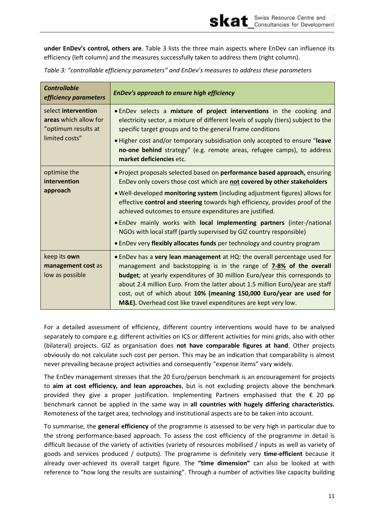**under EnDev's control, others are**. [Table 3](#page-15-0) lists the three main aspects where EnDev can influence its efficiency (left column) and the measures successfully taken to address them (right column).

skat

| <b>Controllable</b><br>efficiency parameters                                          | EnDev's approach to ensure high efficiency                                                                                                                                                                                                                                                                                                                                                                                                                                                                                                                                                                       |  |
|---------------------------------------------------------------------------------------|------------------------------------------------------------------------------------------------------------------------------------------------------------------------------------------------------------------------------------------------------------------------------------------------------------------------------------------------------------------------------------------------------------------------------------------------------------------------------------------------------------------------------------------------------------------------------------------------------------------|--|
| select intervention<br>areas which allow for<br>"optimum results at<br>limited costs" | . EnDev selects a mixture of project interventions in the cooking and<br>electricity sector, a mixture of different levels of supply (tiers) subject to the<br>specific target groups and to the general frame conditions<br>. Higher cost and/or temporary subsidisation only accepted to ensure "leave<br>no-one behind strategy" (e.g. remote areas, refugee camps), to address<br>market deficiencies etc.                                                                                                                                                                                                   |  |
| optimise the<br>intervention<br>approach                                              | . Project proposals selected based on performance based approach, ensuring<br>EnDev only covers those cost which are not covered by other stakeholders<br>. Well-developed monitoring system (including adjustment figures) allows for<br>effective control and steering towards high efficiency, provides proof of the<br>achieved outcomes to ensure expenditures are justified.<br>. EnDev mainly works with local implementing partners (inter-/national<br>NGOs with local staff (partly supervised by GIZ country responsible)<br>• EnDev very flexibly allocates funds per technology and country program |  |
| keep its own<br>management cost as<br>low as possible                                 | . EnDev has a very lean management at HQ: the overall percentage used for<br>management and backstopping is in the range of <b>7-8% of the overall</b><br>budget; at yearly expenditures of 30 million Euro/year this corresponds to<br>about 2.4 million Euro. From the latter about 1.5 million Euro/year are staff<br>cost, out of which about 10% (meaning 150,000 Euro/year are used for<br>M&E). Overhead cost like travel expenditures are kept very low.                                                                                                                                                 |  |

<span id="page-15-0"></span>*Table 3: "controllable efficiency parameters" and EnDev's measures to address these parameters* 

For a detailed assessment of efficiency, different country interventions would have to be analysed separately to compare e.g. different activities on ICS or different activities for mini grids, also with other (bilateral) projects. GIZ as organisation does **not have comparable figures at hand**. Other projects obviously do not calculate such cost per person. This may be an indication that comparability is almost never prevailing because project activities and consequently "expense items" vary widely.

The EnDev management stresses that the 20 Euro/person benchmark is an encouragement for projects to **aim at cost efficiency, and lean approaches**, but is not excluding projects above the benchmark provided they give a proper justification. Implementing Partners emphasised that the  $\epsilon$  20 pp benchmark cannot be applied in the same way in **all countries with hugely differing characteristics.** Remoteness of the target area, technology and institutional aspects are to be taken into account.

To summarise, the **general efficiency** of the programme is assessed to be very high in particular due to the strong performance-based approach. To assess the cost efficiency of the programme in detail is difficult because of the variety of activities (variety of resources mobilised / inputs as well as variety of goods and services produced / outputs). The programme is definitely very **time-efficient** because it already over-achieved its overall target figure. The "time dimension" can also be looked at with reference to "how long the results are sustaining". Through a number of activities like capacity building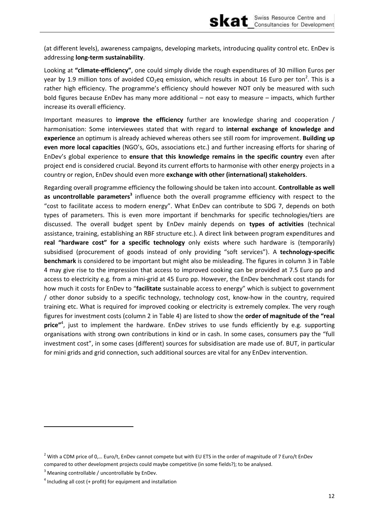(at different levels), awareness campaigns, developing markets, introducing quality control etc. EnDev is addressing long-term sustainability.

skat

Looking at "climate-efficiency", one could simply divide the rough expenditures of 30 million Euros per year by 1.9 million tons of avoided CO<sub>2</sub>eq emission, which results in about 16 Euro per ton<sup>2</sup>. This is a rather high efficiency. The programme's efficiency should however NOT only be measured with such bold figures because EnDev has many more additional - not easy to measure - impacts, which further increase its overall efficiency.

Important measures to *improve the efficiency* further are knowledge sharing and cooperation / harmonisation: Some interviewees stated that with regard to internal exchange of knowledge and experience an optimum is already achieved whereas others see still room for improvement. Building up even more local capacities (NGO's, GOs, associations etc.) and further increasing efforts for sharing of EnDev's global experience to ensure that this knowledge remains in the specific country even after project end is considered crucial. Beyond its current efforts to harmonise with other energy projects in a country or region, EnDev should even more exchange with other (international) stakeholders.

Regarding overall programme efficiency the following should be taken into account. Controllable as well as uncontrollable parameters<sup>3</sup> influence both the overall programme efficiency with respect to the "cost to facilitate access to modern energy". What EnDev can contribute to SDG 7, depends on both types of parameters. This is even more important if benchmarks for specific technologies/tiers are discussed. The overall budget spent by EnDev mainly depends on types of activities (technical assistance, training, establishing an RBF structure etc.). A direct link between program expenditures and real "hardware cost" for a specific technology only exists where such hardware is (temporarily) subsidised (procurement of goods instead of only providing "soft services"). A technology-specific benchmark is considered to be important but might also be misleading. The figures in column 3 in Table 4 may give rise to the impression that access to improved cooking can be provided at 7.5 Euro pp and access to electricity e.g. from a mini-grid at 45 Euro pp. However, the EnDev benchmark cost stands for how much it costs for EnDev to "facilitate sustainable access to energy" which is subject to government / other donor subsidy to a specific technology, technology cost, know-how in the country, required training etc. What is required for improved cooking or electricity is extremely complex. The very rough figures for investment costs (column 2 in Table 4) are listed to show the order of magnitude of the "real price"<sup>4</sup>, just to implement the hardware. EnDev strives to use funds efficiently by e.g. supporting organisations with strong own contributions in kind or in cash. In some cases, consumers pay the "full investment cost", in some cases (different) sources for subsidisation are made use of. BUT, in particular for mini grids and grid connection, such additional sources are vital for any EnDev intervention.

 $^2$  With a CDM price of 0,... Euro/t, EnDev cannot compete but with EU ETS in the order of magnitude of 7 Euro/t EnDev compared to other development projects could maybe competitive (in some fields?); to be analysed.

<sup>&</sup>lt;sup>3</sup> Meaning controllable / uncontrollable by EnDev.

 $4$  Including all cost (+ profit) for equipment and installation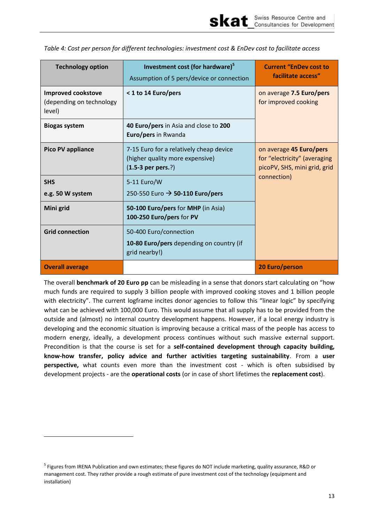<span id="page-17-0"></span>*Table 4: Cost per person for different technologies: investment cost & EnDev cost to facilitate access* 

skat

| <b>Technology option</b>                                        | Investment cost (for hardware) <sup>5</sup><br>Assumption of 5 pers/device or connection           | <b>Current "EnDev cost to</b><br>facilitate access"                                     |  |
|-----------------------------------------------------------------|----------------------------------------------------------------------------------------------------|-----------------------------------------------------------------------------------------|--|
| <b>Improved cookstove</b><br>(depending on technology<br>level) | < 1 to 14 Euro/pers                                                                                | on average 7.5 Euro/pers<br>for improved cooking                                        |  |
| <b>Biogas system</b>                                            | 40 Euro/pers in Asia and close to 200<br>Euro/pers in Rwanda                                       |                                                                                         |  |
| <b>Pico PV appliance</b>                                        | 7-15 Euro for a relatively cheap device<br>(higher quality more expensive)<br>$(1.5-3$ per pers.?) | on average 45 Euro/pers<br>for "electricity" (averaging<br>picoPV, SHS, mini grid, grid |  |
| <b>SHS</b><br>e.g. 50 W system                                  | 5-11 Euro/W<br>250-550 Euro → 50-110 Euro/pers                                                     | connection)                                                                             |  |
| Mini grid                                                       | 50-100 Euro/pers for MHP (in Asia)<br>100-250 Euro/pers for PV                                     |                                                                                         |  |
| <b>Grid connection</b>                                          | 50-400 Euro/connection<br>10-80 Euro/pers depending on country (if<br>grid nearby!)                |                                                                                         |  |
| <b>Overall average</b>                                          |                                                                                                    | <b>20 Euro/person</b>                                                                   |  |

The overall **benchmark of 20 Euro pp** can be misleading in a sense that donors start calculating on "how much funds are required to supply 3 billion people with improved cooking stoves and 1 billion people with electricity". The current logframe incites donor agencies to follow this "linear logic" by specifying what can be achieved with 100,000 Euro. This would assume that all supply has to be provided from the outside and (almost) no internal country development happens. However, if a local energy industry is developing and the economic situation is improving because a critical mass of the people has access to modern energy, ideally, a development process continues without such massive external support. Precondition is that the course is set for a **self-contained development through capacity building, know-how transfer, policy advice and further activities targeting sustainability**. From a **user perspective,** what counts even more than the investment cost - which is often subsidised by development projects - are the **operational costs** (or in case of short lifetimes the **replacement cost**).

l

<sup>&</sup>lt;sup>5</sup> Figures from IRENA Publication and own estimates; these figures do NOT include marketing, quality assurance, R&D or management cost. They rather provide a rough estimate of pure investment cost of the technology (equipment and installation)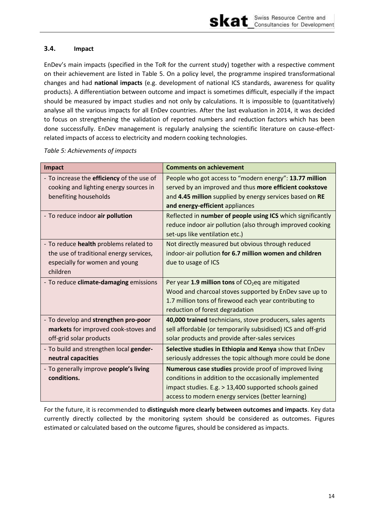### <span id="page-18-0"></span>**3.4. Impact**

EnDev's main impacts (specified in the ToR for the current study) together with a respective comment on their achievement are listed in [Table 5.](#page-18-1) On a policy level, the programme inspired transformational changes and had **national impacts** (e.g. development of national ICS standards, awareness for quality products). A differentiation between outcome and impact is sometimes difficult, especially if the impact should be measured by impact studies and not only by calculations. It is impossible to (quantitatively) analyse all the various impacts for all EnDev countries. After the last evaluation in 2014, it was decided to focus on strengthening the validation of reported numbers and reduction factors which has been done successfully. EnDev management is regularly analysing the scientific literature on cause-effectrelated impacts of access to electricity and modern cooking technologies.

| Impact                                     | <b>Comments on achievement</b>                                |
|--------------------------------------------|---------------------------------------------------------------|
| - To increase the efficiency of the use of | People who got access to "modern energy": 13.77 million       |
| cooking and lighting energy sources in     | served by an improved and thus more efficient cookstove       |
| benefiting households                      | and 4.45 million supplied by energy services based on RE      |
|                                            | and energy-efficient appliances                               |
| - To reduce indoor air pollution           | Reflected in number of people using ICS which significantly   |
|                                            | reduce indoor air pollution (also through improved cooking    |
|                                            | set-ups like ventilation etc.)                                |
| - To reduce health problems related to     | Not directly measured but obvious through reduced             |
| the use of traditional energy services,    | indoor-air pollution for 6.7 million women and children       |
| especially for women and young             | due to usage of ICS                                           |
| children                                   |                                                               |
| - To reduce climate-damaging emissions     | Per year 1.9 million tons of CO <sub>2</sub> eq are mitigated |
|                                            | Wood and charcoal stoves supported by EnDev save up to        |
|                                            | 1.7 million tons of firewood each year contributing to        |
|                                            | reduction of forest degradation                               |
| - To develop and strengthen pro-poor       | 40,000 trained technicians, stove producers, sales agents     |
| markets for improved cook-stoves and       | sell affordable (or temporarily subsidised) ICS and off-grid  |
| off-grid solar products                    | solar products and provide after-sales services               |
| - To build and strengthen local gender-    | Selective studies in Ethiopia and Kenya show that EnDev       |
| neutral capacities                         | seriously addresses the topic although more could be done     |
| - To generally improve people's living     | Numerous case studies provide proof of improved living        |
| conditions.                                | conditions in addition to the occasionally implemented        |
|                                            | impact studies. E.g. > 13,400 supported schools gained        |
|                                            | access to modern energy services (better learning)            |

### <span id="page-18-1"></span>*Table 5: Achievements of impacts*

For the future, it is recommended to **distinguish more clearly between outcomes and impacts**. Key data currently directly collected by the monitoring system should be considered as outcomes. Figures estimated or calculated based on the outcome figures, should be considered as impacts.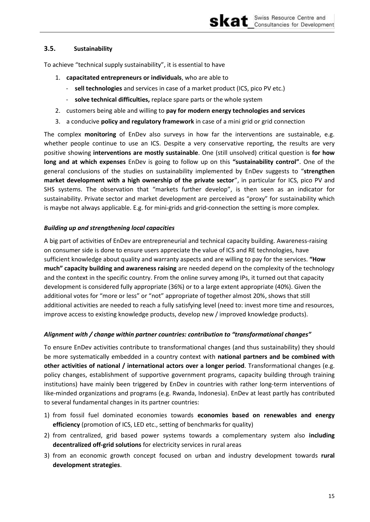skat

### <span id="page-19-0"></span>**3.5. Sustainability**

To achieve "technical supply sustainability", it is essential to have

- 1. **capacitated entrepreneurs or individuals**, who are able to
	- ‐ **sell technologies** and services in case of a market product (ICS, pico PV etc.)
	- ‐ **solve technical difficulties,** replace spare parts or the whole system
- 2. customers being able and willing to **pay for modern energy technologies and services**
- 3. a conducive **policy and regulatory framework** in case of a mini grid or grid connection

The complex **monitoring** of EnDev also surveys in how far the interventions are sustainable, e.g. whether people continue to use an ICS. Despite a very conservative reporting, the results are very positive showing **interventions are mostly sustainable**. One (still unsolved) critical question is **for how**  long and at which expenses EnDev is going to follow up on this "sustainability control". One of the general conclusions of the studies on sustainability implemented by EnDev suggests to "strengthen **market development with a high ownership of the private sector", in particular for ICS, pico PV and** SHS systems. The observation that "markets further develop", is then seen as an indicator for sustainability. Private sector and market development are perceived as "proxy" for sustainability which is maybe not always applicable. E.g. for mini-grids and grid-connection the setting is more complex.

### *Building up and strengthening local capacities*

A big part of activities of EnDev are entrepreneurial and technical capacity building. Awareness-raising on consumer side is done to ensure users appreciate the value of ICS and RE technologies, have sufficient knowledge about quality and warranty aspects and are willing to pay for the services. "How much" capacity building and awareness raising are needed depend on the complexity of the technology and the context in the specific country. From the online survey among IPs, it turned out that capacity development is considered fully appropriate (36%) or to a large extent appropriate (40%). Given the additional votes for "more or less" or "not" appropriate of together almost 20%, shows that still additional activities are needed to reach a fully satisfying level (need to: invest more time and resources, improve access to existing knowledge products, develop new / improved knowledge products).

### Alignment with / change within partner countries: contribution to "transformational changes"

To ensure EnDev activities contribute to transformational changes (and thus sustainability) they should be more systematically embedded in a country context with **national partners and be combined with other activities of national / international actors over a longer period**. Transformational changes (e.g. policy changes, establishment of supportive government programs, capacity building through training institutions) have mainly been triggered by EnDev in countries with rather long-term interventions of like-minded organizations and programs (e.g. Rwanda, Indonesia). EnDev at least partly has contributed to several fundamental changes in its partner countries:

- 1) from fossil fuel dominated economies towards **economies based on renewables and energy efficiency** (promotion of ICS, LED etc., setting of benchmarks for quality)
- 2) from centralized, grid based power systems towards a complementary system also **including decentralized off-grid solutions** for electricity services in rural areas
- 3) from an economic growth concept focused on urban and industry development towards **rural development strategies**.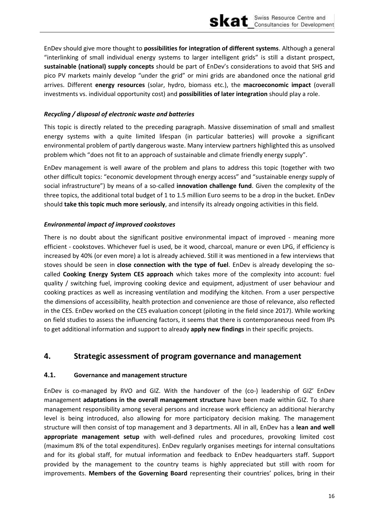

EnDev should give more thought to **possibilities for integration of different systems**. Although a general "interlinking of small individual energy systems to larger intelligent grids" is still a distant prospect, sustainable (national) supply concepts should be part of EnDev's considerations to avoid that SHS and pico PV markets mainly develop "under the grid" or mini grids are abandoned once the national grid arrives. Different energy resources (solar, hydro, biomass etc.), the macroeconomic impact (overall investments vs. individual opportunity cost) and possibilities of later integration should play a role.

### Recycling / disposal of electronic waste and batteries

This topic is directly related to the preceding paragraph. Massive dissemination of small and smallest energy systems with a quite limited lifespan (in particular batteries) will provoke a significant environmental problem of partly dangerous waste. Many interview partners highlighted this as unsolved problem which "does not fit to an approach of sustainable and climate friendly energy supply".

EnDev management is well aware of the problem and plans to address this topic (together with two other difficult topics: "economic development through energy access" and "sustainable energy supply of social infrastructure") by means of a so-called innovation challenge fund. Given the complexity of the three topics, the additional total budget of 1 to 1.5 million Euro seems to be a drop in the bucket. EnDev should take this topic much more seriously, and intensify its already ongoing activities in this field.

### **Environmental impact of improved cookstoves**

There is no doubt about the significant positive environmental impact of improved - meaning more efficient - cookstoves. Whichever fuel is used, be it wood, charcoal, manure or even LPG, if efficiency is increased by 40% (or even more) a lot is already achieved. Still it was mentioned in a few interviews that stoves should be seen in close connection with the type of fuel. EnDev is already developing the socalled Cooking Energy System CES approach which takes more of the complexity into account: fuel quality / switching fuel, improving cooking device and equipment, adjustment of user behaviour and cooking practices as well as increasing ventilation and modifying the kitchen. From a user perspective the dimensions of accessibility, health protection and convenience are those of relevance, also reflected in the CES. EnDev worked on the CES evaluation concept (piloting in the field since 2017). While working on field studies to assess the influencing factors, it seems that there is contemporaneous need from IPs to get additional information and support to already apply new findings in their specific projects.

#### <span id="page-20-0"></span>4. Strategic assessment of program governance and management

#### <span id="page-20-1"></span> $4.1.$ Governance and management structure

EnDev is co-managed by RVO and GIZ. With the handover of the (co-) leadership of GIZ' EnDev management adaptations in the overall management structure have been made within GIZ. To share management responsibility among several persons and increase work efficiency an additional hierarchy level is being introduced, also allowing for more participatory decision making. The management structure will then consist of top management and 3 departments. All in all, EnDev has a lean and well appropriate management setup with well-defined rules and procedures, provoking limited cost (maximum 8% of the total expenditures). EnDev regularly organises meetings for internal consultations and for its global staff, for mutual information and feedback to EnDev headquarters staff. Support provided by the management to the country teams is highly appreciated but still with room for improvements. Members of the Governing Board representing their countries' polices, bring in their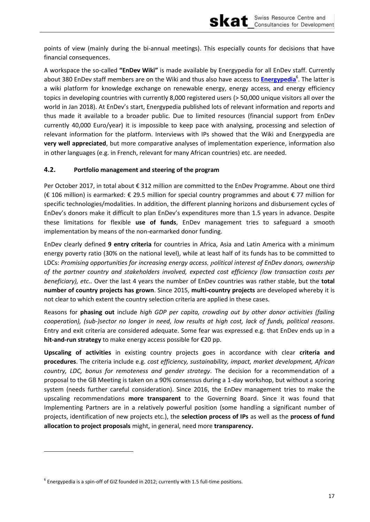points of view (mainly during the bi-annual meetings). This especially counts for decisions that have financial consequences.

A workspace the so-called "EnDev Wiki" is made available by Energypedia for all EnDev staff. Currently about 380 EnDev staff members are on the Wiki and thus also have access to Energypedia<sup>6</sup>. The latter is a wiki platform for knowledge exchange on renewable energy, energy access, and energy efficiency topics in developing countries with currently 8,000 registered users (> 50,000 unique visitors all over the world in Jan 2018). At EnDev's start, Energypedia published lots of relevant information and reports and thus made it available to a broader public. Due to limited resources (financial support from EnDev currently 40,000 Euro/year) it is impossible to keep pace with analysing, processing and selection of relevant information for the platform. Interviews with IPs showed that the Wiki and Energypedia are very well appreciated, but more comparative analyses of implementation experience, information also in other languages (e.g. in French, relevant for many African countries) etc. are needed.

#### <span id="page-21-0"></span> $4.2.$ Portfolio management and steering of the program

Per October 2017, in total about € 312 million are committed to the EnDev Programme. About one third (€ 106 million) is earmarked: € 29.5 million for special country programmes and about € 77 million for specific technologies/modalities. In addition, the different planning horizons and disbursement cycles of EnDev's donors make it difficult to plan EnDev's expenditures more than 1.5 years in advance. Despite these limitations for flexible use of funds, EnDev management tries to safeguard a smooth implementation by means of the non-earmarked donor funding.

EnDev clearly defined 9 entry criteria for countries in Africa, Asia and Latin America with a minimum energy poverty ratio (30% on the national level), while at least half of its funds has to be committed to LDCs: Promising opportunities for increasing energy access, political interest of EnDev donors, ownership of the partner country and stakeholders involved, expected cost efficiency (low transaction costs per beneficiary), etc.. Over the last 4 years the number of EnDev countries was rather stable, but the total number of country projects has grown. Since 2015, multi-country projects are developed whereby it is not clear to which extent the country selection criteria are applied in these cases.

Reasons for phasing out include high GDP per capita, crowding out by other donor activities (failing cooperation), (sub-)sector no longer in need, low results at high cost, lack of funds, political reasons. Entry and exit criteria are considered adequate. Some fear was expressed e.g. that EnDev ends up in a hit-and-run strategy to make energy access possible for €20 pp.

Upscaling of activities in existing country projects goes in accordance with clear criteria and procedures. The criteria include e.g. cost efficiency, sustainability, impact, market development, African country, LDC, bonus for remoteness and gender strategy. The decision for a recommendation of a proposal to the GB Meeting is taken on a 90% consensus during a 1-day workshop, but without a scoring system (needs further careful consideration). Since 2016, the EnDev management tries to make the upscaling recommendations more transparent to the Governing Board. Since it was found that Implementing Partners are in a relatively powerful position (some handling a significant number of projects, identification of new projects etc.), the selection process of IPs as well as the process of fund allocation to project proposals might, in general, need more transparency.

 $^6$  Energypedia is a spin-off of GIZ founded in 2012; currently with 1.5 full-time positions.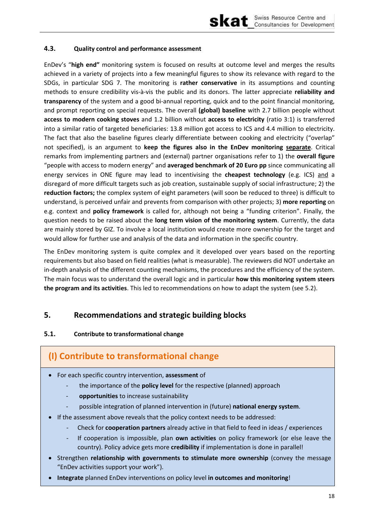

### <span id="page-22-0"></span>**4.3. Quality control and performance assessment**

EnDev's "high end" monitoring system is focused on results at outcome level and merges the results achieved in a variety of projects into a few meaningful figures to show its relevance with regard to the SDGs, in particular SDG 7. The monitoring is **rather conservative** in its assumptions and counting methods to ensure credibility vis-à-vis the public and its donors. The latter appreciate **reliability and transparency** of the system and a good bi-annual reporting, quick and to the point financial monitoring, and prompt reporting on special requests. The overall **(global) baseline** with 2.7 billion people without **access to modern cooking stoves** and 1.2 billion without **access to electricity** (ratio 3:1) is transferred into a similar ratio of targeted beneficiaries: 13.8 million got access to ICS and 4.4 million to electricity. The fact that also the baseline figures clearly differentiate between cooking and electricity ("overlap" not specified), is an argument to **keep the figures also in the EnDev monitoring separate**. Critical remarks from implementing partners and (external) partner organisations refer to 1) the **overall figure** "people with access to modern energy" and averaged benchmark of 20 Euro pp since communicating all energy services in ONE figure may lead to incentivising the **cheapest technology** (e.g. ICS) and a disregard of more difficult targets such as job creation, sustainable supply of social infrastructure; 2) the **reduction factors;** the complex system of eight parameters (will soon be reduced to three) is difficult to understand, is perceived unfair and prevents from comparison with other projects; 3) **more reporting** on e.g. context and **policy framework** is called for, although not being a "funding criterion". Finally, the question needs to be raised about the **long term vision of the monitoring system**. Currently, the data are mainly stored by GIZ. To involve a local institution would create more ownership for the target and would allow for further use and analysis of the data and information in the specific country.

The EnDev monitoring system is quite complex and it developed over years based on the reporting requirements but also based on field realities (what is measurable). The reviewers did NOT undertake an in-depth analysis of the different counting mechanisms, the procedures and the efficiency of the system. The main focus was to understand the overall logic and in particular **how this monitoring system steers the program and its activities**. This led to recommendations on how to adapt the system (see [5.2\)](#page-23-0).

### <span id="page-22-1"></span>**5. Recommendations and strategic building blocks**

### <span id="page-22-2"></span>**5.1. Contribute to transformational change**

## **(I) Contribute to transformational change**

- For each specific country intervention, **assessment** of
	- ‐ the importance of the **policy level** for the respective (planned) approach
	- ‐ **opportunities** to increase sustainability
	- ‐ possible integration of planned intervention in (future) **national energy system**.
- If the assessment above reveals that the policy context needs to be addressed:
	- ‐ Check for **cooperation partners** already active in that field to feed in ideas / experiences
	- ‐ If cooperation is impossible, plan **own activities** on policy framework (or else leave the country). Policy advice gets more **credibility** if implementation is done in parallel!
- Strengthen **relationship with governments to stimulate more ownership** (convey the message "EnDev activities support your work").
- **Integrate** planned EnDev interventions on policy level **in outcomes and monitoring**!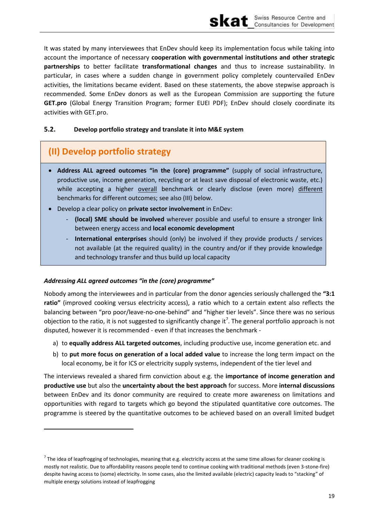It was stated by many interviewees that EnDev should keep its implementation focus while taking into account the importance of necessary cooperation with governmental institutions and other strategic partnerships to better facilitate transformational changes and thus to increase sustainability. In particular, in cases where a sudden change in government policy completely countervailed EnDev activities, the limitations became evident. Based on these statements, the above stepwise approach is recommended. Some EnDev donors as well as the European Commission are supporting the future GET.pro (Global Energy Transition Program; former EUEI PDF); EnDev should closely coordinate its activities with GET.pro.

#### <span id="page-23-0"></span> $5.2.$ Develop portfolio strategy and translate it into M&E system

# (II) Develop portfolio strategy

- Address ALL agreed outcomes "in the (core) programme" (supply of social infrastructure, productive use, income generation, recycling or at least save disposal of electronic waste, etc.) while accepting a higher overall benchmark or clearly disclose (even more) different benchmarks for different outcomes; see also (III) below.
- Develop a clear policy on private sector involvement in EnDev:
	- (local) SME should be involved wherever possible and useful to ensure a stronger link between energy access and local economic development
	- International enterprises should (only) be involved if they provide products / services not available (at the required quality) in the country and/or if they provide knowledge and technology transfer and thus build up local capacity

### Addressing ALL agreed outcomes "in the (core) programme"

Nobody among the interviewees and in particular from the donor agencies seriously challenged the "3:1 ratio" (improved cooking versus electricity access), a ratio which to a certain extent also reflects the balancing between "pro poor/leave-no-one-behind" and "higher tier levels". Since there was no serious objection to the ratio, it is not suggested to significantly change it<sup>7</sup>. The general portfolio approach is not disputed, however it is recommended - even if that increases the benchmark -

- a) to equally address ALL targeted outcomes, including productive use, income generation etc. and
- b) to put more focus on generation of a local added value to increase the long term impact on the local economy, be it for ICS or electricity supply systems, independent of the tier level and

The interviews revealed a shared firm conviction about e.g. the importance of income generation and productive use but also the uncertainty about the best approach for success. More internal discussions between EnDev and its donor community are required to create more awareness on limitations and opportunities with regard to targets which go beyond the stipulated quantitative core outcomes. The programme is steered by the quantitative outcomes to be achieved based on an overall limited budget

The idea of leapfrogging of technologies, meaning that e.g. electricity access at the same time allows for cleaner cooking is mostly not realistic. Due to affordability reasons people tend to continue cooking with traditional methods (even 3-stone-fire) despite having access to (some) electricity. In some cases, also the limited available (electric) capacity leads to "stacking" of multiple energy solutions instead of leapfrogging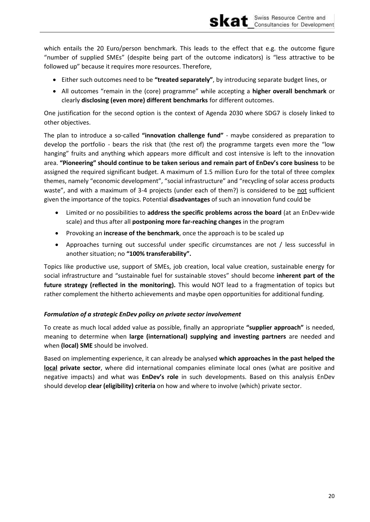which entails the 20 Euro/person benchmark. This leads to the effect that e.g. the outcome figure "number of supplied SMEs" (despite being part of the outcome indicators) is "less attractive to be followed up" because it requires more resources. Therefore,

skat

- Either such outcomes need to be "treated separately", by introducing separate budget lines, or
- All outcomes "remain in the (core) programme" while accepting a higher overall benchmark or clearly disclosing (even more) different benchmarks for different outcomes.

One justification for the second option is the context of Agenda 2030 where SDG7 is closely linked to other objectives.

The plan to introduce a so-called "innovation challenge fund" - maybe considered as preparation to develop the portfolio - bears the risk that (the rest of) the programme targets even more the "low hanging" fruits and anything which appears more difficult and cost intensive is left to the innovation area. "Pioneering" should continue to be taken serious and remain part of EnDev's core business to be assigned the required significant budget. A maximum of 1.5 million Euro for the total of three complex themes, namely "economic development", "social infrastructure" and "recycling of solar access products waste", and with a maximum of 3-4 projects (under each of them?) is considered to be not sufficient given the importance of the topics. Potential disadvantages of such an innovation fund could be

- Limited or no possibilities to address the specific problems across the board (at an EnDev-wide scale) and thus after all postponing more far-reaching changes in the program
- Provoking an increase of the benchmark, once the approach is to be scaled up
- Approaches turning out successful under specific circumstances are not / less successful in another situation; no "100% transferability".

Topics like productive use, support of SMEs, job creation, local value creation, sustainable energy for social infrastructure and "sustainable fuel for sustainable stoves" should become inherent part of the future strategy (reflected in the monitoring). This would NOT lead to a fragmentation of topics but rather complement the hitherto achievements and maybe open opportunities for additional funding.

### Formulation of a strategic EnDev policy on private sector involvement

To create as much local added value as possible, finally an appropriate "supplier approach" is needed, meaning to determine when large (international) supplying and investing partners are needed and when (local) SME should be involved.

Based on implementing experience, it can already be analysed which approaches in the past helped the local private sector, where did international companies eliminate local ones (what are positive and negative impacts) and what was EnDev's role in such developments. Based on this analysis EnDev should develop clear (eligibility) criteria on how and where to involve (which) private sector.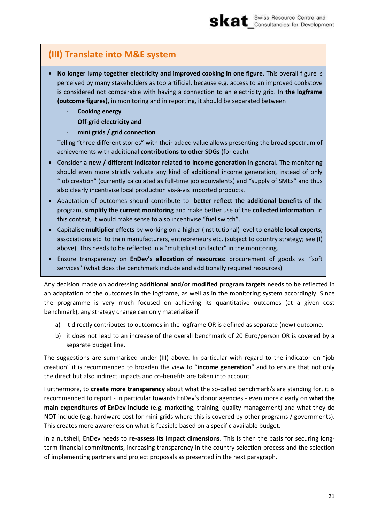## (III) Translate into M&E system

- No longer lump together electricity and improved cooking in one figure. This overall figure is perceived by many stakeholders as too artificial, because e.g. access to an improved cookstove is considered not comparable with having a connection to an electricity grid. In the logframe (outcome figures), in monitoring and in reporting, it should be separated between
	- **Cooking energy**
	- Off-grid electricity and
	- mini grids / grid connection

Telling "three different stories" with their added value allows presenting the broad spectrum of achievements with additional contributions to other SDGs (for each).

- Consider a new / different indicator related to income generation in general. The monitoring should even more strictly valuate any kind of additional income generation, instead of only "job creation" (currently calculated as full-time job equivalents) and "supply of SMEs" and thus also clearly incentivise local production vis-à-vis imported products.
- Adaptation of outcomes should contribute to: better reflect the additional benefits of the program, simplify the current monitoring and make better use of the collected information. In this context, it would make sense to also incentivise "fuel switch".
- Capitalise multiplier effects by working on a higher (institutional) level to enable local experts, associations etc. to train manufacturers, entrepreneurs etc. (subject to country strategy; see (I) above). This needs to be reflected in a "multiplication factor" in the monitoring.
- Ensure transparency on **EnDev's allocation of resources:** procurement of goods vs. "soft services" (what does the benchmark include and additionally required resources)

Any decision made on addressing additional and/or modified program targets needs to be reflected in an adaptation of the outcomes in the logframe, as well as in the monitoring system accordingly. Since the programme is very much focused on achieving its quantitative outcomes (at a given cost benchmark), any strategy change can only materialise if

- a) it directly contributes to outcomes in the logframe OR is defined as separate (new) outcome.
- b) it does not lead to an increase of the overall benchmark of 20 Euro/person OR is covered by a separate budget line.

The suggestions are summarised under (III) above. In particular with regard to the indicator on "job creation" it is recommended to broaden the view to "income generation" and to ensure that not only the direct but also indirect impacts and co-benefits are taken into account.

Furthermore, to create more transparency about what the so-called benchmark/s are standing for, it is recommended to report - in particular towards EnDev's donor agencies - even more clearly on what the main expenditures of EnDev include (e.g. marketing, training, quality management) and what they do NOT include (e.g. hardware cost for mini-grids where this is covered by other programs / governments). This creates more awareness on what is feasible based on a specific available budget.

In a nutshell, EnDev needs to re-assess its impact dimensions. This is then the basis for securing longterm financial commitments, increasing transparency in the country selection process and the selection of implementing partners and project proposals as presented in the next paragraph.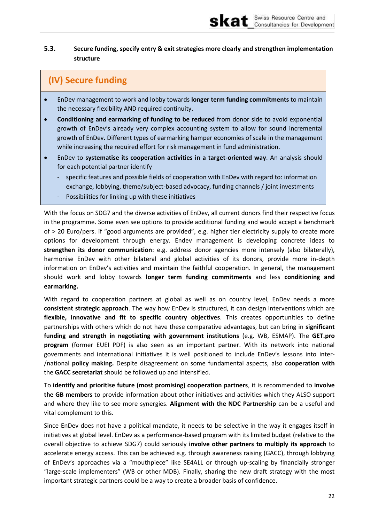#### <span id="page-26-0"></span> $5.3.$ Secure funding, specify entry & exit strategies more clearly and strengthen implementation structure

skat

# (IV) Secure funding

- EnDev management to work and lobby towards longer term funding commitments to maintain  $\bullet$ the necessary flexibility AND required continuity.
- Conditioning and earmarking of funding to be reduced from donor side to avoid exponential  $\bullet$ growth of EnDev's already very complex accounting system to allow for sound incremental growth of EnDev. Different types of earmarking hamper economies of scale in the management while increasing the required effort for risk management in fund administration.
- EnDev to systematise its cooperation activities in a target-oriented way. An analysis should  $\bullet$ for each potential partner identify
	- specific features and possible fields of cooperation with EnDev with regard to: information exchange, lobbying, theme/subject-based advocacy, funding channels / joint investments
	- Possibilities for linking up with these initiatives

With the focus on SDG7 and the diverse activities of EnDev, all current donors find their respective focus in the programme. Some even see options to provide additional funding and would accept a benchmark of > 20 Euro/pers. if "good arguments are provided", e.g. higher tier electricity supply to create more options for development through energy. Endev management is developing concrete ideas to strengthen its donor communication: e.g. address donor agencies more intensely (also bilaterally), harmonise EnDev with other bilateral and global activities of its donors, provide more in-depth information on EnDev's activities and maintain the faithful cooperation. In general, the management should work and lobby towards longer term funding commitments and less conditioning and earmarking.

With regard to cooperation partners at global as well as on country level, EnDev needs a more consistent strategic approach. The way how EnDev is structured, it can design interventions which are flexible, innovative and fit to specific country objectives. This creates opportunities to define partnerships with others which do not have these comparative advantages, but can bring in significant funding and strength in negotiating with government institutions (e.g. WB, ESMAP). The GET.pro program (former EUEI PDF) is also seen as an important partner. With its network into national governments and international initiatives it is well positioned to include EnDev's lessons into inter-/national policy making. Despite disagreement on some fundamental aspects, also cooperation with the GACC secretariat should be followed up and intensified.

To identify and prioritise future (most promising) cooperation partners, it is recommended to involve the GB members to provide information about other initiatives and activities which they ALSO support and where they like to see more synergies. Alignment with the NDC Partnership can be a useful and vital complement to this.

Since EnDev does not have a political mandate, it needs to be selective in the way it engages itself in initiatives at global level. EnDev as a performance-based program with its limited budget (relative to the overall objective to achieve SDG7) could seriously involve other partners to multiply its approach to accelerate energy access. This can be achieved e.g. through awareness raising (GACC), through lobbying of EnDev's approaches via a "mouthpiece" like SE4ALL or through up-scaling by financially stronger "large-scale implementers" (WB or other MDB). Finally, sharing the new draft strategy with the most important strategic partners could be a way to create a broader basis of confidence.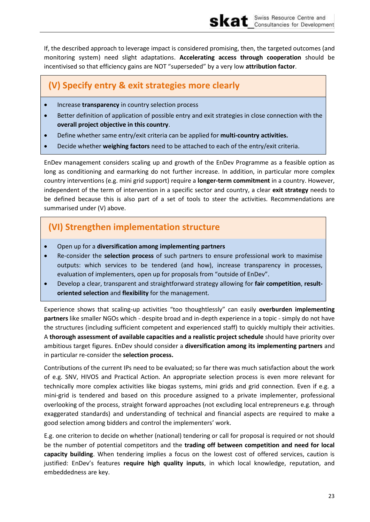If, the described approach to leverage impact is considered promising, then, the targeted outcomes (and monitoring system) need slight adaptations. **Accelerating access through cooperation** should be incentivised so that efficiency gains are NOT "superseded" by a very low attribution factor.

# **(V) Specify entry & exit strategies more clearly**

- **•** Increase **transparency** in country selection process
- Better definition of application of possible entry and exit strategies in close connection with the **overall project objective in this country**.
- Define whether same entry/exit criteria can be applied for **multi-country activities.**
- Decide whether **weighing factors** need to be attached to each of the entry/exit criteria.

EnDev management considers scaling up and growth of the EnDev Programme as a feasible option as long as conditioning and earmarking do not further increase. In addition, in particular more complex country interventions (e.g. mini grid support) require a **longer-term commitment** in a country. However, independent of the term of intervention in a specific sector and country, a clear **exit strategy** needs to be defined because this is also part of a set of tools to steer the activities. Recommendations are summarised under (V) above.

# **(VI) Strengthen implementation structure**

- Open up for a **diversification among implementing partners**
- Re-consider the **selection process** of such partners to ensure professional work to maximise outputs: which services to be tendered (and how), increase transparency in processes, evaluation of implementers, open up for proposals from "outside of EnDev".
- Develop a clear, transparent and straightforward strategy allowing for **fair competition**, **resultoriented selection** and **flexibility** for the management.

Experience shows that scaling-up activities "too thoughtlessly" can easily **overburden implementing partners** like smaller NGOs which - despite broad and in-depth experience in a topic - simply do not have the structures (including sufficient competent and experienced staff) to quickly multiply their activities. A **thorough assessment of available capacities and a realistic project schedule** should have priority over ambitious target figures. EnDev should consider a **diversification among its implementing partners** and in particular re-consider the **selection process.**

Contributions of the current IPs need to be evaluated; so far there was much satisfaction about the work of e.g. SNV, HIVOS and Practical Action. An appropriate selection process is even more relevant for technically more complex activities like biogas systems, mini grids and grid connection. Even if e.g. a mini-grid is tendered and based on this procedure assigned to a private implementer, professional overlooking of the process, straight forward approaches (not excluding local entrepreneurs e.g. through exaggerated standards) and understanding of technical and financial aspects are required to make a good selection among bidders and control the implementers' work.

E.g. one criterion to decide on whether (national) tendering or call for proposal is required or not should be the number of potential competitors and the **trading off between competition and need for local capacity building**. When tendering implies a focus on the lowest cost of offered services, caution is justified: EnDev's features require high quality inputs, in which local knowledge, reputation, and embeddedness are key.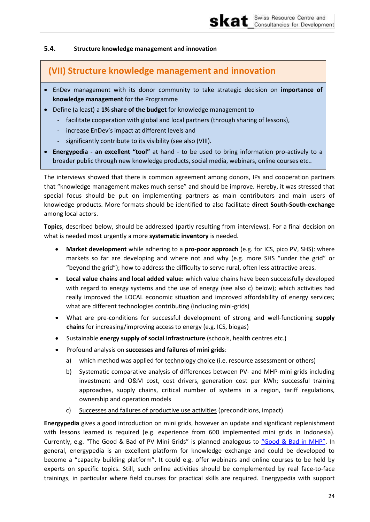#### <span id="page-28-0"></span> $5.4.$ Structure knowledge management and innovation

## (VII) Structure knowledge management and innovation

- EnDev management with its donor community to take strategic decision on importance of knowledge management for the Programme
- Define (a least) a 1% share of the budget for knowledge management to
	- facilitate cooperation with global and local partners (through sharing of lessons).
	- increase EnDev's impact at different levels and
	- significantly contribute to its visibility (see also (VIII).
- Energypedia an excellent "tool" at hand to be used to bring information pro-actively to a broader public through new knowledge products, social media, webinars, online courses etc..

The interviews showed that there is common agreement among donors, IPs and cooperation partners that "knowledge management makes much sense" and should be improve. Hereby, it was stressed that special focus should be put on implementing partners as main contributors and main users of knowledge products. More formats should be identified to also facilitate direct South-South-exchange among local actors.

Topics, described below, should be addressed (partly resulting from interviews). For a final decision on what is needed most urgently a more systematic inventory is needed.

- Market development while adhering to a pro-poor approach (e.g. for ICS, pico PV, SHS): where  $\bullet$ markets so far are developing and where not and why (e.g. more SHS "under the grid" or "beyond the grid"); how to address the difficulty to serve rural, often less attractive areas.
- Local value chains and local added value: which value chains have been successfully developed with regard to energy systems and the use of energy (see also c) below); which activities had really improved the LOCAL economic situation and improved affordability of energy services; what are different technologies contributing (including mini-grids)
- What are pre-conditions for successful development of strong and well-functioning supply chains for increasing/improving access to energy (e.g. ICS, biogas)
- Sustainable energy supply of social infrastructure (schools, health centres etc.)
- Profound analysis on successes and failures of mini grids:
	- which method was applied for technology choice (i.e. resource assessment or others) a)
	- Systematic comparative analysis of differences between PV- and MHP-mini grids including b) investment and O&M cost, cost drivers, generation cost per kWh; successful training approaches, supply chains, critical number of systems in a region, tariff regulations, ownership and operation models
	- Successes and failures of productive use activities (preconditions, impact)  $\mathsf{c}$ )

Energypedia gives a good introduction on mini grids, however an update and significant replenishment with lessons learned is required (e.g. experience from 600 implemented mini grids in Indonesia). Currently, e.g. "The Good & Bad of PV Mini Grids" is planned analogous to "Good & Bad in MHP". In general, energypedia is an excellent platform for knowledge exchange and could be developed to become a "capacity building platform". It could e.g. offer webinars and online courses to be held by experts on specific topics. Still, such online activities should be complemented by real face-to-face trainings, in particular where field courses for practical skills are required. Energypedia with support